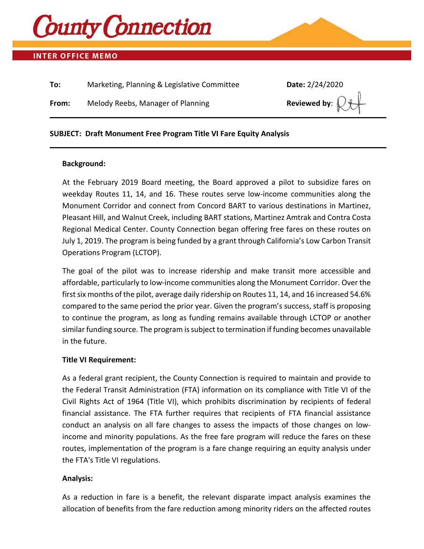

### **INTER OFFICE MEMO**

| To:   | Marketing, Planning & Legislative Committee | Date: 2/24/2020           |
|-------|---------------------------------------------|---------------------------|
| From: | Melody Reebs, Manager of Planning           | Reviewed by: $\mathbb{R}$ |

### **SUBJECT: Draft Monument Free Program Title VI Fare Equity Analysis**

#### **Background:**

At the February 2019 Board meeting, the Board approved a pilot to subsidize fares on weekday Routes 11, 14, and 16. These routes serve low-income communities along the Monument Corridor and connect from Concord BART to various destinations in Martinez, Pleasant Hill, and Walnut Creek, including BART stations, Martinez Amtrak and Contra Costa Regional Medical Center. County Connection began offering free fares on these routes on July 1, 2019. The program is being funded by a grant through California's Low Carbon Transit Operations Program (LCTOP).

The goal of the pilot was to increase ridership and make transit more accessible and affordable, particularly to low-income communities along the Monument Corridor. Over the first six months of the pilot, average daily ridership on Routes 11, 14, and 16 increased 54.6% compared to the same period the prior year. Given the program's success, staff is proposing to continue the program, as long as funding remains available through LCTOP or another similar funding source. The program is subject to termination if funding becomes unavailable in the future.

#### **Title VI Requirement:**

As a federal grant recipient, the County Connection is required to maintain and provide to the Federal Transit Administration (FTA) information on its compliance with Title VI of the Civil Rights Act of 1964 (Title VI), which prohibits discrimination by recipients of federal financial assistance. The FTA further requires that recipients of FTA financial assistance conduct an analysis on all fare changes to assess the impacts of those changes on lowincome and minority populations. As the free fare program will reduce the fares on these routes, implementation of the program is a fare change requiring an equity analysis under the FTA's Title VI regulations.

### **Analysis:**

As a reduction in fare is a benefit, the relevant disparate impact analysis examines the allocation of benefits from the fare reduction among minority riders on the affected routes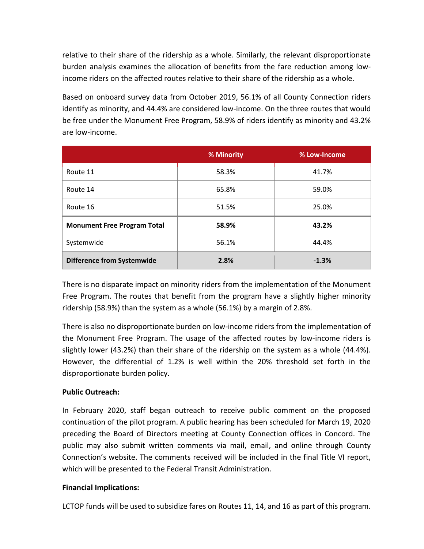relative to their share of the ridership as a whole. Similarly, the relevant disproportionate burden analysis examines the allocation of benefits from the fare reduction among lowincome riders on the affected routes relative to their share of the ridership as a whole.

Based on onboard survey data from October 2019, 56.1% of all County Connection riders identify as minority, and 44.4% are considered low-income. On the three routes that would be free under the Monument Free Program, 58.9% of riders identify as minority and 43.2% are low-income.

|                                    | % Minority | % Low-Income |
|------------------------------------|------------|--------------|
| Route 11                           | 58.3%      | 41.7%        |
| Route 14                           | 65.8%      | 59.0%        |
| Route 16                           | 51.5%      | 25.0%        |
| <b>Monument Free Program Total</b> | 58.9%      | 43.2%        |
| Systemwide                         | 56.1%      | 44.4%        |
| <b>Difference from Systemwide</b>  | 2.8%       | $-1.3%$      |

There is no disparate impact on minority riders from the implementation of the Monument Free Program. The routes that benefit from the program have a slightly higher minority ridership (58.9%) than the system as a whole (56.1%) by a margin of 2.8%.

There is also no disproportionate burden on low-income riders from the implementation of the Monument Free Program. The usage of the affected routes by low-income riders is slightly lower (43.2%) than their share of the ridership on the system as a whole (44.4%). However, the differential of 1.2% is well within the 20% threshold set forth in the disproportionate burden policy.

### **Public Outreach:**

In February 2020, staff began outreach to receive public comment on the proposed continuation of the pilot program. A public hearing has been scheduled for March 19, 2020 preceding the Board of Directors meeting at County Connection offices in Concord. The public may also submit written comments via mail, email, and online through County Connection's website. The comments received will be included in the final Title VI report, which will be presented to the Federal Transit Administration.

### **Financial Implications:**

LCTOP funds will be used to subsidize fares on Routes 11, 14, and 16 as part of this program.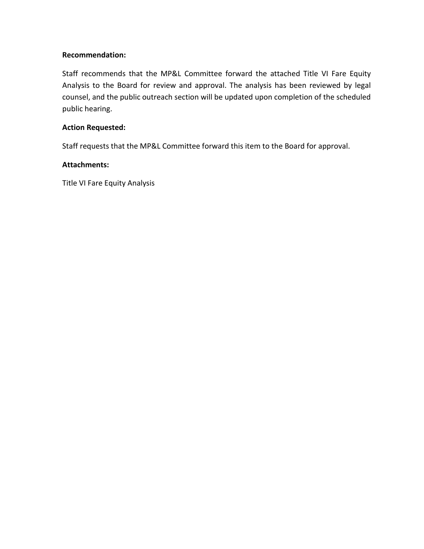### **Recommendation:**

Staff recommends that the MP&L Committee forward the attached Title VI Fare Equity Analysis to the Board for review and approval. The analysis has been reviewed by legal counsel, and the public outreach section will be updated upon completion of the scheduled public hearing.

### **Action Requested:**

Staff requests that the MP&L Committee forward this item to the Board for approval.

### **Attachments:**

Title VI Fare Equity Analysis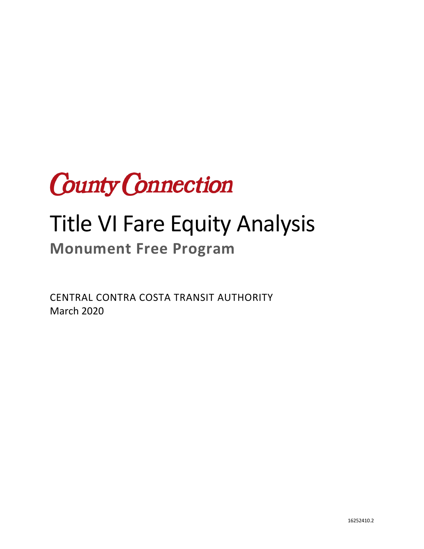

# Title VI Fare Equity Analysis

# **Monument Free Program**

CENTRAL CONTRA COSTA TRANSIT AUTHORITY March 2020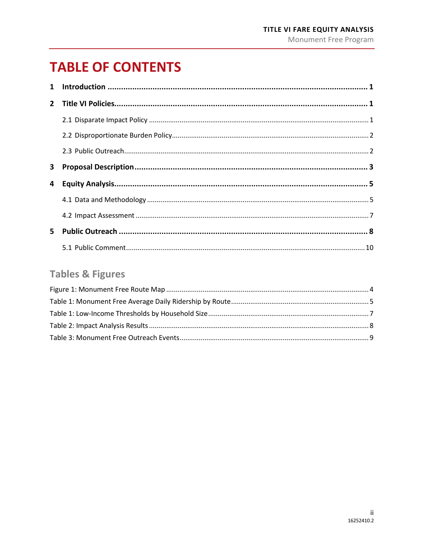# **TABLE OF CONTENTS**

| 3  |  |
|----|--|
| 4  |  |
|    |  |
|    |  |
| 5. |  |
|    |  |

### **Tables & Figures**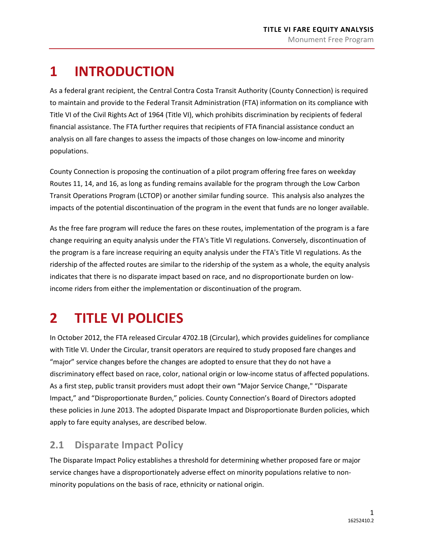# <span id="page-5-0"></span>**1 INTRODUCTION**

As a federal grant recipient, the Central Contra Costa Transit Authority (County Connection) is required to maintain and provide to the Federal Transit Administration (FTA) information on its compliance with Title VI of the Civil Rights Act of 1964 (Title VI), which prohibits discrimination by recipients of federal financial assistance. The FTA further requires that recipients of FTA financial assistance conduct an analysis on all fare changes to assess the impacts of those changes on low-income and minority populations.

County Connection is proposing the continuation of a pilot program offering free fares on weekday Routes 11, 14, and 16, as long as funding remains available for the program through the Low Carbon Transit Operations Program (LCTOP) or another similar funding source. This analysis also analyzes the impacts of the potential discontinuation of the program in the event that funds are no longer available.

As the free fare program will reduce the fares on these routes, implementation of the program is a fare change requiring an equity analysis under the FTA's Title VI regulations. Conversely, discontinuation of the program is a fare increase requiring an equity analysis under the FTA's Title VI regulations. As the ridership of the affected routes are similar to the ridership of the system as a whole, the equity analysis indicates that there is no disparate impact based on race, and no disproportionate burden on lowincome riders from either the implementation or discontinuation of the program.

# <span id="page-5-1"></span>**2 TITLE VI POLICIES**

In October 2012, the FTA released Circular 4702.1B (Circular), which provides guidelines for compliance with Title VI. Under the Circular, transit operators are required to study proposed fare changes and "major" service changes before the changes are adopted to ensure that they do not have a discriminatory effect based on race, color, national origin or low-income status of affected populations. As a first step, public transit providers must adopt their own "Major Service Change," "Disparate Impact," and "Disproportionate Burden," policies. County Connection's Board of Directors adopted these policies in June 2013. The adopted Disparate Impact and Disproportionate Burden policies, which apply to fare equity analyses, are described below.

### <span id="page-5-2"></span>**2.1 Disparate Impact Policy**

The Disparate Impact Policy establishes a threshold for determining whether proposed fare or major service changes have a disproportionately adverse effect on minority populations relative to nonminority populations on the basis of race, ethnicity or national origin.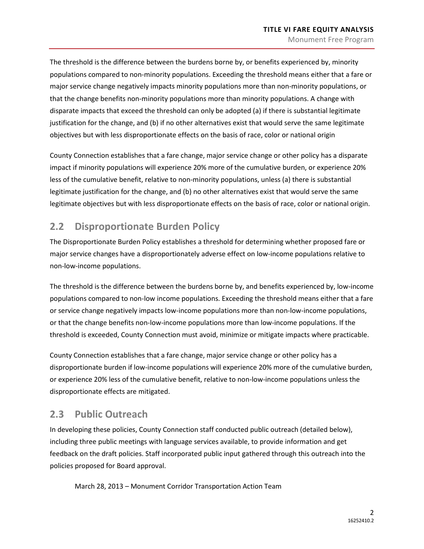The threshold is the difference between the burdens borne by, or benefits experienced by, minority populations compared to non-minority populations. Exceeding the threshold means either that a fare or major service change negatively impacts minority populations more than non-minority populations, or that the change benefits non-minority populations more than minority populations. A change with disparate impacts that exceed the threshold can only be adopted (a) if there is substantial legitimate justification for the change, and (b) if no other alternatives exist that would serve the same legitimate objectives but with less disproportionate effects on the basis of race, color or national origin

County Connection establishes that a fare change, major service change or other policy has a disparate impact if minority populations will experience 20% more of the cumulative burden, or experience 20% less of the cumulative benefit, relative to non-minority populations, unless (a) there is substantial legitimate justification for the change, and (b) no other alternatives exist that would serve the same legitimate objectives but with less disproportionate effects on the basis of race, color or national origin.

### <span id="page-6-0"></span>**2.2 Disproportionate Burden Policy**

The Disproportionate Burden Policy establishes a threshold for determining whether proposed fare or major service changes have a disproportionately adverse effect on low-income populations relative to non-low-income populations.

The threshold is the difference between the burdens borne by, and benefits experienced by, low-income populations compared to non-low income populations. Exceeding the threshold means either that a fare or service change negatively impacts low-income populations more than non-low-income populations, or that the change benefits non-low-income populations more than low-income populations. If the threshold is exceeded, County Connection must avoid, minimize or mitigate impacts where practicable.

County Connection establishes that a fare change, major service change or other policy has a disproportionate burden if low-income populations will experience 20% more of the cumulative burden, or experience 20% less of the cumulative benefit, relative to non-low-income populations unless the disproportionate effects are mitigated.

### <span id="page-6-1"></span>**2.3 Public Outreach**

In developing these policies, County Connection staff conducted public outreach (detailed below), including three public meetings with language services available, to provide information and get feedback on the draft policies. Staff incorporated public input gathered through this outreach into the policies proposed for Board approval.

March 28, 2013 – Monument Corridor Transportation Action Team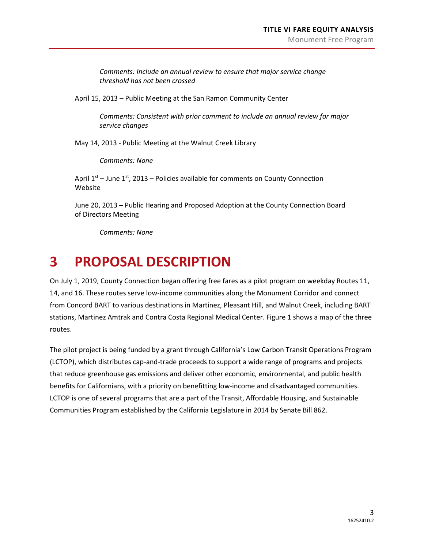*Comments: Include an annual review to ensure that major service change threshold has not been crossed*

April 15, 2013 – Public Meeting at the San Ramon Community Center

*Comments: Consistent with prior comment to include an annual review for major service changes*

May 14, 2013 - Public Meeting at the Walnut Creek Library

*Comments: None*

April  $1<sup>st</sup>$  – June  $1<sup>st</sup>$ , 2013 – Policies available for comments on County Connection Website

June 20, 2013 – Public Hearing and Proposed Adoption at the County Connection Board of Directors Meeting

*Comments: None*

### <span id="page-7-0"></span>**3 PROPOSAL DESCRIPTION**

On July 1, 2019, County Connection began offering free fares as a pilot program on weekday Routes 11, 14, and 16. These routes serve low-income communities along the Monument Corridor and connect from Concord BART to various destinations in Martinez, Pleasant Hill, and Walnut Creek, including BART stations, Martinez Amtrak and Contra Costa Regional Medical Center[. Figure 1](#page-8-0) shows a map of the three routes.

The pilot project is being funded by a grant through California's Low Carbon Transit Operations Program (LCTOP), which distributes cap-and-trade proceeds to support a wide range of programs and projects that reduce greenhouse gas emissions and deliver other economic, environmental, and public health benefits for Californians, with a priority on benefitting low-income and disadvantaged communities. LCTOP is one of several programs that are a part of the Transit, Affordable Housing, and Sustainable Communities Program established by the California Legislature in 2014 by Senate Bill 862.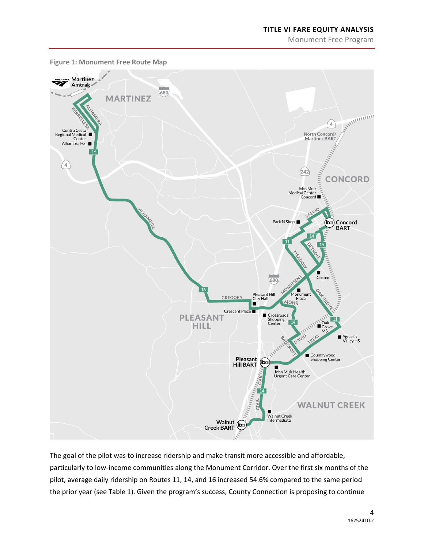Monument Free Program



<span id="page-8-0"></span>**Figure 1: Monument Free Route Map**

The goal of the pilot was to increase ridership and make transit more accessible and affordable, particularly to low-income communities along the Monument Corridor. Over the first six months of the pilot, average daily ridership on Routes 11, 14, and 16 increased 54.6% compared to the same period the prior year (see [Table 1\)](#page-9-2). Given the program's success, County Connection is proposing to continue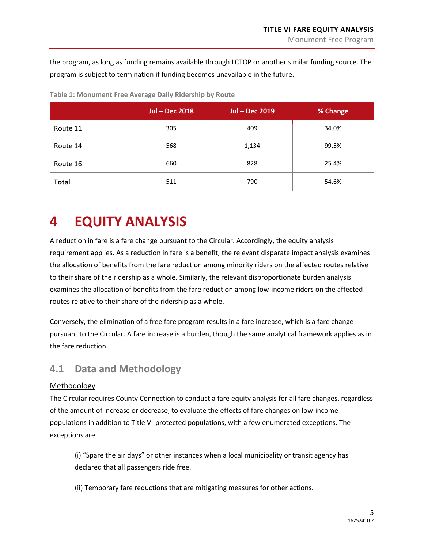the program, as long as funding remains available through LCTOP or another similar funding source. The program is subject to termination if funding becomes unavailable in the future.

|              | <b>Jul - Dec 2018</b> | <b>Jul - Dec 2019</b> | % Change |
|--------------|-----------------------|-----------------------|----------|
| Route 11     | 305                   | 409                   | 34.0%    |
| Route 14     | 568                   | 1,134                 | 99.5%    |
| Route 16     | 660                   | 828                   | 25.4%    |
| <b>Total</b> | 511                   | 790                   | 54.6%    |

<span id="page-9-2"></span>**Table 1: Monument Free Average Daily Ridership by Route**

# <span id="page-9-0"></span>**4 EQUITY ANALYSIS**

A reduction in fare is a fare change pursuant to the Circular. Accordingly, the equity analysis requirement applies. As a reduction in fare is a benefit, the relevant disparate impact analysis examines the allocation of benefits from the fare reduction among minority riders on the affected routes relative to their share of the ridership as a whole. Similarly, the relevant disproportionate burden analysis examines the allocation of benefits from the fare reduction among low-income riders on the affected routes relative to their share of the ridership as a whole.

Conversely, the elimination of a free fare program results in a fare increase, which is a fare change pursuant to the Circular. A fare increase is a burden, though the same analytical framework applies as in the fare reduction.

### <span id="page-9-1"></span>**4.1 Data and Methodology**

### Methodology

The Circular requires County Connection to conduct a fare equity analysis for all fare changes, regardless of the amount of increase or decrease, to evaluate the effects of fare changes on low-income populations in addition to Title VI-protected populations, with a few enumerated exceptions. The exceptions are:

(i) "Spare the air days" or other instances when a local municipality or transit agency has declared that all passengers ride free.

(ii) Temporary fare reductions that are mitigating measures for other actions.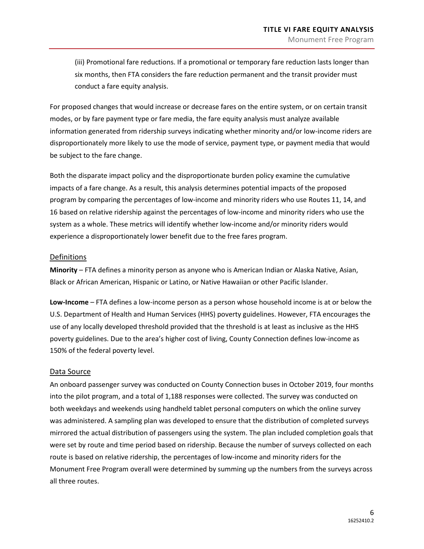(iii) Promotional fare reductions. If a promotional or temporary fare reduction lasts longer than six months, then FTA considers the fare reduction permanent and the transit provider must conduct a fare equity analysis.

For proposed changes that would increase or decrease fares on the entire system, or on certain transit modes, or by fare payment type or fare media, the fare equity analysis must analyze available information generated from ridership surveys indicating whether minority and/or low-income riders are disproportionately more likely to use the mode of service, payment type, or payment media that would be subject to the fare change.

Both the disparate impact policy and the disproportionate burden policy examine the cumulative impacts of a fare change. As a result, this analysis determines potential impacts of the proposed program by comparing the percentages of low-income and minority riders who use Routes 11, 14, and 16 based on relative ridership against the percentages of low-income and minority riders who use the system as a whole. These metrics will identify whether low-income and/or minority riders would experience a disproportionately lower benefit due to the free fares program.

#### Definitions

**Minority** – FTA defines a minority person as anyone who is American Indian or Alaska Native, Asian, Black or African American, Hispanic or Latino, or Native Hawaiian or other Pacific Islander.

**Low-Income** – FTA defines a low-income person as a person whose household income is at or below the U.S. Department of Health and Human Services (HHS) poverty guidelines. However, FTA encourages the use of any locally developed threshold provided that the threshold is at least as inclusive as the HHS poverty guidelines. Due to the area's higher cost of living, County Connection defines low-income as 150% of the federal poverty level.

#### Data Source

An onboard passenger survey was conducted on County Connection buses in October 2019, four months into the pilot program, and a total of 1,188 responses were collected. The survey was conducted on both weekdays and weekends using handheld tablet personal computers on which the online survey was administered. A sampling plan was developed to ensure that the distribution of completed surveys mirrored the actual distribution of passengers using the system. The plan included completion goals that were set by route and time period based on ridership. Because the number of surveys collected on each route is based on relative ridership, the percentages of low-income and minority riders for the Monument Free Program overall were determined by summing up the numbers from the surveys across all three routes.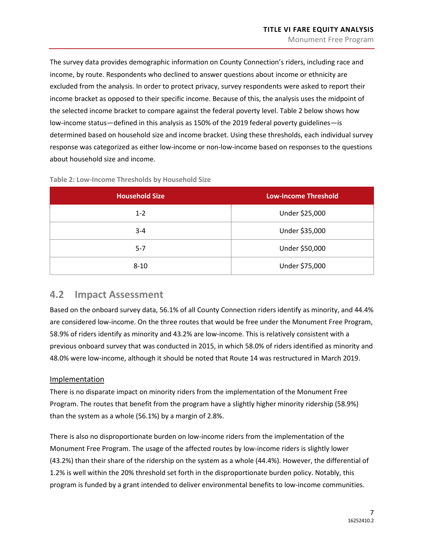The survey data provides demographic information on County Connection's riders, including race and income, by route. Respondents who declined to answer questions about income or ethnicity are excluded from the analysis. In order to protect privacy, survey respondents were asked to report their income bracket as opposed to their specific income. Because of this, the analysis uses the midpoint of the selected income bracket to compare against the federal poverty level. [Table 2](#page-11-1) below shows how low-income status—defined in this analysis as 150% of the 2019 federal poverty guidelines—is determined based on household size and income bracket. Using these thresholds, each individual survey response was categorized as either low-income or non-low-income based on responses to the questions about household size and income.

| <b>Household Size</b> | <b>Low-Income Threshold</b> |
|-----------------------|-----------------------------|
| $1 - 2$               | Under \$25,000              |
| $3 - 4$               | Under \$35,000              |
| $5 - 7$               | Under \$50,000              |
| $8 - 10$              | Under \$75,000              |

<span id="page-11-1"></span>**Table 2: Low-Income Thresholds by Household Size**

### <span id="page-11-0"></span>**4.2 Impact Assessment**

Based on the onboard survey data, 56.1% of all County Connection riders identify as minority, and 44.4% are considered low-income. On the three routes that would be free under the Monument Free Program, 58.9% of riders identify as minority and 43.2% are low-income. This is relatively consistent with a previous onboard survey that was conducted in 2015, in which 58.0% of riders identified as minority and 48.0% were low-income, although it should be noted that Route 14 was restructured in March 2019.

### Implementation

There is no disparate impact on minority riders from the implementation of the Monument Free Program. The routes that benefit from the program have a slightly higher minority ridership (58.9%) than the system as a whole (56.1%) by a margin of 2.8%.

There is also no disproportionate burden on low-income riders from the implementation of the Monument Free Program. The usage of the affected routes by low-income riders is slightly lower (43.2%) than their share of the ridership on the system as a whole (44.4%). However, the differential of 1.2% is well within the 20% threshold set forth in the disproportionate burden policy. Notably, this program is funded by a grant intended to deliver environmental benefits to low-income communities.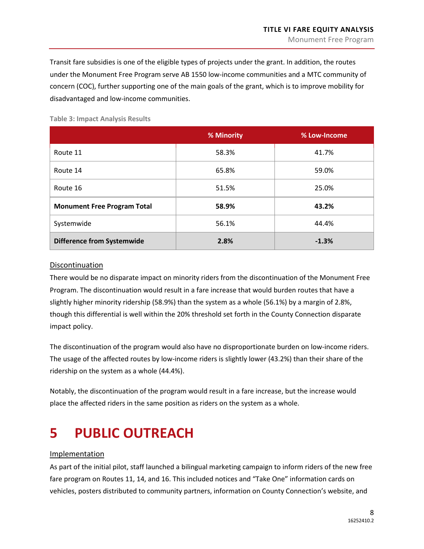Transit fare subsidies is one of the eligible types of projects under the grant. In addition, the routes under the Monument Free Program serve AB 1550 low-income communities and a MTC community of concern (COC), further supporting one of the main goals of the grant, which is to improve mobility for disadvantaged and low-income communities.

|                                    | % Minority | % Low-Income |
|------------------------------------|------------|--------------|
| Route 11                           | 58.3%      | 41.7%        |
| Route 14                           | 65.8%      | 59.0%        |
| Route 16                           | 51.5%      | 25.0%        |
| <b>Monument Free Program Total</b> | 58.9%      | 43.2%        |
| Systemwide                         | 56.1%      | 44.4%        |
| <b>Difference from Systemwide</b>  | 2.8%       | $-1.3%$      |

<span id="page-12-1"></span>**Table 3: Impact Analysis Results**

#### Discontinuation

There would be no disparate impact on minority riders from the discontinuation of the Monument Free Program. The discontinuation would result in a fare increase that would burden routes that have a slightly higher minority ridership (58.9%) than the system as a whole (56.1%) by a margin of 2.8%, though this differential is well within the 20% threshold set forth in the County Connection disparate impact policy.

The discontinuation of the program would also have no disproportionate burden on low-income riders. The usage of the affected routes by low-income riders is slightly lower (43.2%) than their share of the ridership on the system as a whole (44.4%).

Notably, the discontinuation of the program would result in a fare increase, but the increase would place the affected riders in the same position as riders on the system as a whole.

# <span id="page-12-0"></span>**5 PUBLIC OUTREACH**

#### Implementation

As part of the initial pilot, staff launched a bilingual marketing campaign to inform riders of the new free fare program on Routes 11, 14, and 16. This included notices and "Take One" information cards on vehicles, posters distributed to community partners, information on County Connection's website, and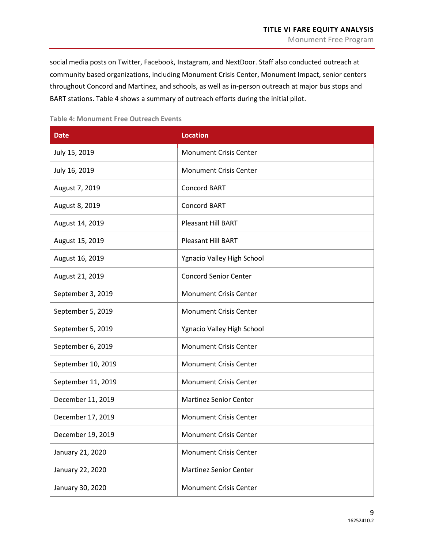social media posts on Twitter, Facebook, Instagram, and NextDoor. Staff also conducted outreach at community based organizations, including Monument Crisis Center, Monument Impact, senior centers throughout Concord and Martinez, and schools, as well as in-person outreach at major bus stops and BART stations. [Table 4](#page-13-0) shows a summary of outreach efforts during the initial pilot.

#### <span id="page-13-0"></span>**Table 4: Monument Free Outreach Events**

| <b>Date</b>        | <b>Location</b>               |
|--------------------|-------------------------------|
| July 15, 2019      | <b>Monument Crisis Center</b> |
| July 16, 2019      | <b>Monument Crisis Center</b> |
| August 7, 2019     | Concord BART                  |
| August 8, 2019     | Concord BART                  |
| August 14, 2019    | <b>Pleasant Hill BART</b>     |
| August 15, 2019    | <b>Pleasant Hill BART</b>     |
| August 16, 2019    | Ygnacio Valley High School    |
| August 21, 2019    | <b>Concord Senior Center</b>  |
| September 3, 2019  | <b>Monument Crisis Center</b> |
| September 5, 2019  | <b>Monument Crisis Center</b> |
| September 5, 2019  | Ygnacio Valley High School    |
| September 6, 2019  | <b>Monument Crisis Center</b> |
| September 10, 2019 | <b>Monument Crisis Center</b> |
| September 11, 2019 | <b>Monument Crisis Center</b> |
| December 11, 2019  | <b>Martinez Senior Center</b> |
| December 17, 2019  | <b>Monument Crisis Center</b> |
| December 19, 2019  | <b>Monument Crisis Center</b> |
| January 21, 2020   | <b>Monument Crisis Center</b> |
| January 22, 2020   | <b>Martinez Senior Center</b> |
| January 30, 2020   | <b>Monument Crisis Center</b> |